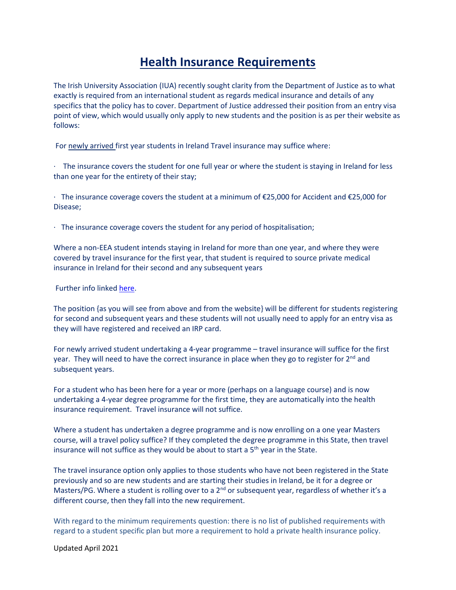## **Health Insurance Requirements**

The Irish University Association (IUA) recently sought clarity from the Department of Justice as to what exactly is required from an international student as regards medical insurance and details of any specifics that the policy has to cover. Department of Justice addressed their position from an entry visa point of view, which would usually only apply to new students and the position is as per their website as follows:

For newly arrived first year students in Ireland Travel insurance may suffice where:

· The insurance covers the student for one full year or where the student is staying in Ireland for less than one year for the entirety of their stay;

· The insurance coverage covers the student at a minimum of €25,000 for Accident and €25,000 for Disease;

· The insurance coverage covers the student for any period of hospitalisation;

Where a non-EEA student intends staying in Ireland for more than one year, and where they were covered by travel insurance for the first year, that student is required to source private medical insurance in Ireland for their second and any subsequent years

Further info linked [here.](http://www.inis.gov.ie/en/INIS/Private%20Medical%20Insurance%20for%20full%20time%20Non-EEA%20Students.pdf/Files/Private%20Medical%20Insurance%20for%20full%20time%20Non-EEA%20Students.pdf)

The position {as you will see from above and from the website} will be different for students registering for second and subsequent years and these students will not usually need to apply for an entry visa as they will have registered and received an IRP card.

For newly arrived student undertaking a 4-year programme – travel insurance will suffice for the first year. They will need to have the correct insurance in place when they go to register for  $2^{nd}$  and subsequent years.

For a student who has been here for a year or more (perhaps on a language course) and is now undertaking a 4-year degree programme for the first time, they are automatically into the health insurance requirement. Travel insurance will not suffice.

Where a student has undertaken a degree programme and is now enrolling on a one year Masters course, will a travel policy suffice? If they completed the degree programme in this State, then travel insurance will not suffice as they would be about to start a  $5<sup>th</sup>$  year in the State.

The travel insurance option only applies to those students who have not been registered in the State previously and so are new students and are starting their studies in Ireland, be it for a degree or Masters/PG. Where a student is rolling over to a 2<sup>nd</sup> or subsequent year, regardless of whether it's a different course, then they fall into the new requirement.

With regard to the minimum requirements question: there is no list of published requirements with regard to a student specific plan but more a requirement to hold a private health insurance policy.

Updated April 2021